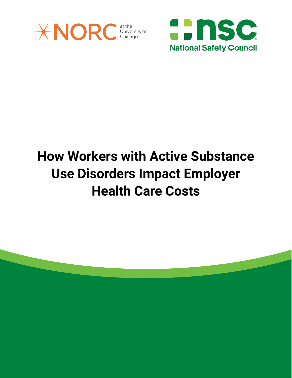

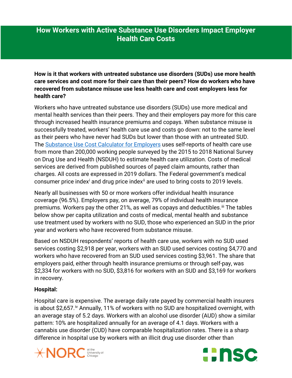**How is it that workers with untreated substance use disorders (SUDs) use more health care services and cost more for their care than their peers? How do workers who have recovered from substance misuse use less health care and cost employers less for health care?** 

Workers who have untreated substance use disorders (SUDs) use more medical and mental health services than their peers. They and their employers pay more for this care through increased health insurance premiums and copays. When substance misuse is successfully treated, workers' health care use and costs go down: not to the same level as their peers who have never had SUDs but lower than those with an untreated SUD. The [Substance Use Cost Calculator for Employers](https://www.nsc.org/forms/substance-use-employer-calculator) uses self-reports of health care use from more than 200,000 working people surveyed by the 2015 to 2018 National Survey on Drug Use and Health (NSDUH) to estimate health care utilization. Costs of medical services are derived from published sources of payed claim amounts, rather than charges. All costs are expressed in 2019 dollars. The Federal government's medical consumer pr[i](#page-8-0)ce index<sup>i</sup> and drug price index<sup>[ii](#page-8-1)</sup> are used to bring costs to 2019 levels.

Nearly all businesses with 50 or more workers offer individual health insurance coverage (96.5%). Employers pay, on average, 79% of individual health insurance premiums. Workers pay the other 21%, as well as copays and deductibles.<sup>[iii](#page-8-2)</sup> The tables below show per capita utilization and costs of medical, mental health and substance use treatment used by workers with no SUD, those who experienced an SUD in the prior year and workers who have recovered from substance misuse.

Based on NSDUH respondents' reports of health care use, workers with no SUD used services costing \$2,918 per year, workers with an SUD used services costing \$4,770 and workers who have recovered from an SUD used services costing \$3,961. The share that employers paid, either through health insurance premiums or through self-pay, was \$2,334 for workers with no SUD, \$3,816 for workers with an SUD and \$3,169 for workers in recovery.

## **Hospital:**

Hospital care is expensive. The average daily rate payed by commercial health insurers is about \$2,657.<sup>[iv](#page-9-0)</sup> Annually, 11% of workers with no SUD are hospitalized overnight, with an average stay of 5.2 days. Workers with an alcohol use disorder (AUD) show a similar pattern: 10% are hospitalized annually for an average of 4.1 days. Workers with a cannabis use disorder (CUD) have comparable hospitalization rates. There is a sharp difference in hospital use by workers with an illicit drug use disorder other than



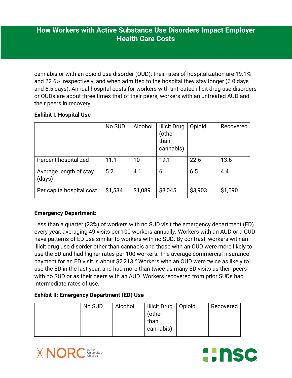cannabis or with an opioid use disorder (OUD): their rates of hospitalization are 19.1% and 22.6%, respectively, and when admitted to the hospital they stay longer (6.0 days and 6.5 days). Annual hospital costs for workers with untreated illicit drug use disorders or OUDs are about three times that of their peers, workers with an untreated AUD and their peers in recovery.

### **Exhibit I: Hospital Use**

|                                  | No SUD  | Alcohol | <b>Illicit Drug</b><br>(other<br>than<br>cannabis) | Opioid  | Recovered |
|----------------------------------|---------|---------|----------------------------------------------------|---------|-----------|
| Percent hospitalized             | 11.1    | 10      | 19.1                                               | 22.6    | 13.6      |
| Average length of stay<br>(days) | 5.2     | 4.1     | 6                                                  | 6.5     | 4.4       |
| Per capita hospital cost         | \$1,534 | \$1,089 | \$3,045                                            | \$3,903 | \$1,590   |

## **Emergency Department:**

Less than a quarter (23%) of workers with no SUD visit the emergency department (ED) every year, averaging 49 visits per 100 workers annually. Workers with an AUD or a CUD have patterns of ED use similar to workers with no SUD. By contrast, workers with an illicit drug use disorder other than cannabis and those with an OUD were more likely to use the ED and had higher rates per 100 workers. The average commercial insurance payment for an ED [v](#page-9-1)isit is about \$2,213. V Workers with an OUD were twice as likely to use the ED in the last year, and had more than twice as many ED visits as their peers with no SUD or as their peers with an AUD. Workers recovered from prior SUDs had intermediate rates of use.

## **Exhibit II: Emergency Department (ED) Use**

| No SUD | Alcohol | <b>Illicit Drug</b><br>(other<br>than<br>cannabis) | Opioid | Recovered |
|--------|---------|----------------------------------------------------|--------|-----------|
|--------|---------|----------------------------------------------------|--------|-----------|



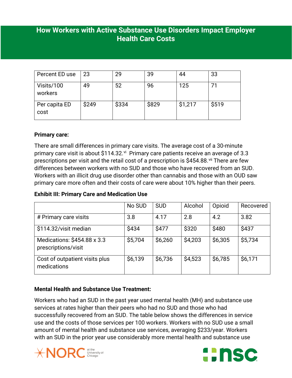| Percent ED use        | 23    | 29    | 39    | 44      | 33    |
|-----------------------|-------|-------|-------|---------|-------|
| Visits/100<br>workers | 49    | 52    | 96    | 125     | 71    |
| Per capita ED<br>cost | \$249 | \$334 | \$829 | \$1,217 | \$519 |

## **Primary care:**

There are small differences in primary care visits. The average cost of a 30-minute primary care [vi](#page-9-2)sit is about \$114.32.<sup>vi</sup> Primary care patients receive an average of 3.3 prescriptions per visit and the retail cost of a prescription is \$454.88.<sup>[vii](#page-9-3)</sup> There are few differences between workers with no SUD and those who have recovered from an SUD. Workers with an illicit drug use disorder other than cannabis and those with an OUD saw primary care more often and their costs of care were about 10% higher than their peers.

#### **Exhibit III: Primary Care and Medication Use**

|                                                    | No SUD  | <b>SUD</b> | Alcohol | Opioid  | Recovered |
|----------------------------------------------------|---------|------------|---------|---------|-----------|
| # Primary care visits                              | 3.8     | 4.17       | 2.8     | 4.2     | 3.82      |
| \$114.32/visit median                              | \$434   | \$477      | \$320   | \$480   | \$437     |
| Medications: \$454.88 x 3.3<br>prescriptions/visit | \$5,704 | \$6,260    | \$4,203 | \$6,305 | \$5,734   |
| Cost of outpatient visits plus<br>medications      | \$6,139 | \$6,736    | \$4,523 | \$6,785 | \$6,171   |

## **Mental Health and Substance Use Treatment:**

Workers who had an SUD in the past year used mental health (MH) and substance use services at rates higher than their peers who had no SUD and those who had successfully recovered from an SUD. The table below shows the differences in service use and the costs of those services per 100 workers. Workers with no SUD use a small amount of mental health and substance use services, averaging \$233/year. Workers with an SUD in the prior year use considerably more mental health and substance use



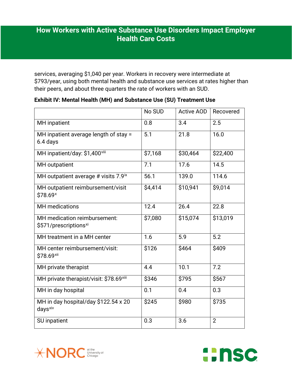services, averaging \$1,040 per year. Workers in recovery were intermediate at \$793/year, using both mental health and substance use services at rates higher than their peers, and about three quarters the rate of workers with an SUD.

|                                                                   | No SUD  | <b>Active AOD</b> | Recovered      |
|-------------------------------------------------------------------|---------|-------------------|----------------|
| <b>MH</b> inpatient                                               | 0.8     | 3.4               | 2.5            |
| MH inpatient average length of stay =<br>6.4 days                 | 5.1     | 21.8              | 16.0           |
| MH inpatient/day: \$1,400viii                                     | \$7,168 | \$30,464          | \$22,400       |
| MH outpatient                                                     | 7.1     | 17.6              | 14.5           |
| MH outpatient average # visits 7.9 <sup>ix</sup>                  | 56.1    | 139.0             | 114.6          |
| MH outpatient reimbursement/visit<br>\$78.69×                     | \$4,414 | \$10,941          | \$9,014        |
| <b>MH</b> medications                                             | 12.4    | 26.4              | 22.8           |
| MH medication reimbursement:<br>\$571/prescriptions <sup>xi</sup> | \$7,080 | \$15,074          | \$13,019       |
| MH treatment in a MH center                                       | 1.6     | 5.9               | 5.2            |
| MH center reimbursement/visit:<br>\$78.69xii                      | \$126   | \$464             | \$409          |
| MH private therapist                                              | 4.4     | 10.1              | 7.2            |
| MH private therapist/visit: \$78.69xiii                           | \$346   | \$795             | \$567          |
| MH in day hospital                                                | 0.1     | 0.4               | 0.3            |
| MH in day hospital/day \$122.54 x 20<br>days <sup>xiv</sup>       | \$245   | \$980             | \$735          |
| SU inpatient                                                      | 0.3     | 3.6               | $\overline{2}$ |

### **Exhibit IV: Mental Health (MH) and Substance Use (SU) Treatment Use**



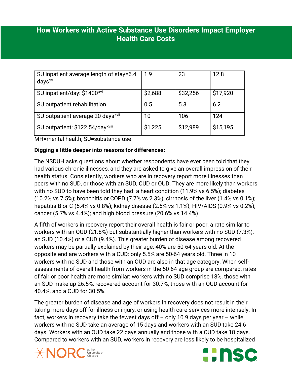| SU inpatient average length of stay=6.4<br>$days^{xy}$ | 1.9     | 23       | 12.8     |
|--------------------------------------------------------|---------|----------|----------|
| SU inpatient/day: \$1400 <sup>xvi</sup>                | \$2,688 | \$32,256 | \$17,920 |
| SU outpatient rehabilitation                           | 0.5     | 5.3      | 6.2      |
| SU outpatient average 20 days <sup>xvii</sup>          | 10      | 106      | 124      |
| SU outpatient: \$122.54/day <sup>xviii</sup>           | \$1,225 | \$12,989 | \$15,195 |

MH=mental health; SU=substance use

## **Digging a little deeper into reasons for differences:**

The NSDUH asks questions about whether respondents have ever been told that they had various chronic illnesses, and they are asked to give an overall impression of their health status. Consistently, workers who are in recovery report more illnesses than peers with no SUD, or those with an SUD, CUD or OUD. They are more likely than workers with no SUD to have been told they had: a heart condition (11.9% vs 6.5%); diabetes (10.2% vs 7.5%); bronchitis or COPD (7.7% vs 2.3%); cirrhosis of the liver (1.4% vs 0.1%); hepatitis B or C (5.4% vs 0.8%); kidney disease (2.5% vs 1.1%); HIV/AIDS (0.9% vs 0.2%); cancer (5.7% vs 4.4%); and high blood pressure (20.6% vs 14.4%).

A fifth of workers in recovery report their overall health is fair or poor, a rate similar to workers with an OUD (21.8%) but substantially higher than workers with no SUD (7.3%), an SUD (10.4%) or a CUD (9.4%). This greater burden of disease among recovered workers may be partially explained by their age: 40% are 50-64 years old. At the opposite end are workers with a CUD: only 5.5% are 50-64 years old. Three in 10 workers with no SUD and those with an OUD are also in that age category. When selfassessments of overall health from workers in the 50-64 age group are compared, rates of fair or poor health are more similar: workers with no SUD comprise 18%, those with an SUD make up 26.5%, recovered account for 30.7%, those with an OUD account for 40.4%, and a CUD for 30.5%.

The greater burden of disease and age of workers in recovery does not result in their taking more days off for illness or injury, or using health care services more intensely. In fact, workers in recovery take the fewest days off  $-$  only 10.9 days per year  $-$  while workers with no SUD take an average of 15 days and workers with an SUD take 24.6 days. Workers with an OUD take 22 days annually and those with a CUD take 18 days. Compared to workers with an SUD, workers in recovery are less likely to be hospitalized



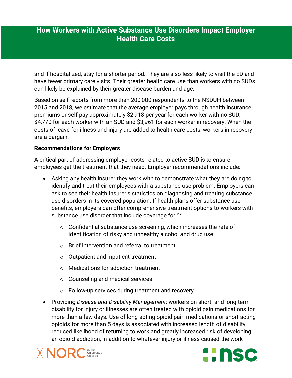and if hospitalized, stay for a shorter period. They are also less likely to visit the ED and have fewer primary care visits. Their greater health care use than workers with no SUDs can likely be explained by their greater disease burden and age.

Based on self-reports from more than 200,000 respondents to the NSDUH between 2015 and 2018, we estimate that the average employer pays through health insurance premiums or self-pay approximately \$2,918 per year for each worker with no SUD, \$4,770 for each worker with an SUD and \$3,961 for each worker in recovery. When the costs of leave for illness and injury are added to health care costs, workers in recovery are a bargain.

### **Recommendations for Employers**

A critical part of addressing employer costs related to active SUD is to ensure employees get the treatment that they need. Employer recommendations include:

- Asking any health insurer they work with to demonstrate what they are doing to identify and treat their employees with a substance use problem. Employers can ask to see their health insurer's statistics on diagnosing and treating substance use disorders in its covered population. If health plans offer substance use benefits, employers can offer comprehensive treatment options to workers with substance use disorder that include coverage for: [xix](#page-10-0)
	- $\circ$  Confidential substance use screening, which increases the rate of identification of risky and unhealthy alcohol and drug use
	- o Brief intervention and referral to treatment
	- o Outpatient and inpatient treatment
	- o Medications for addiction treatment
	- o Counseling and medical services
	- o Follow-up services during treatment and recovery
- Providing *Disease and Disability Management*: workers on short- and long-term disability for injury or illnesses are often treated with opioid pain medications for more than a few days. Use of long-acting opioid pain medications or short-acting opioids for more than 5 days is associated with increased length of disability, reduced likelihood of returning to work and greatly increased risk of developing an opioid addiction, in addition to whatever injury or illness caused the work



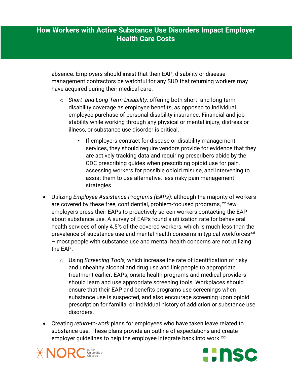absence. Employers should insist that their EAP, disability or disease management contractors be watchful for any SUD that returning workers may have acquired during their medical care.

- o *Short and Long-Term Disability:* offering both short- and long-term disability coverage as employee benefits, as opposed to individual employee purchase of personal disability insurance. Financial and job stability while working through any physical or mental injury, distress or illness, or substance use disorder is critical.
	- If employers contract for disease or disability management services, they should require vendors provide for evidence that they are actively tracking data and requiring prescribers abide by the CDC prescribing guides when prescribing opioid use for pain, assessing workers for possible opioid misuse, and intervening to assist them to use alternative, less risky pain management strategies.
- Utilizing *Employee Assistance Programs (EAPs)*: although the majority of workers are covered by these free, confidential, problem-focused programs, [xx](#page-10-1) few employers press their EAPs to proactively screen workers contacting the EAP about substance use. A survey of EAPs found a utilization rate for behavioral health services of only 4.5% of the covered workers, which is much less than the prevalence of substance use and mental health concerns in typical workforces<sup>[xxi](#page-10-2)</sup> – most people with substance use and mental health concerns are not utilizing the EAP.
	- o Using *Screening Tools,* which increase the rate of identification of risky and unhealthy alcohol and drug use and link people to appropriate treatment earlier. EAPs, onsite health programs and medical providers should learn and use appropriate screening tools. Workplaces should ensure that their EAP and benefits programs use screenings when substance use is suspected, and also encourage screening upon opioid prescription for familial or individual history of addiction or substance use disorders.
- Creating *return-to-work* plans for employees who have taken leave related to substance use. These plans provide an outline of expectations and create employer guidelines to help the employee integrate back into work.<sup>[xxii](#page-10-3)</sup>



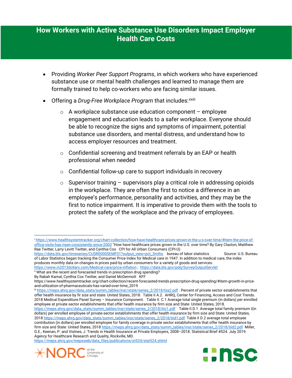- Providing *Worker Peer Support Programs*, in which workers who have experienced substance use or mental health challenges and learned to manage them are formally trained to help co-workers who are facing similar issues.
- Offering a *Drug-Free Workplace Program* that includes: xxiii
	- $\circ$  A workplace substance use education component employee engagement and education leads to a safer workplace. Everyone should be able to recognize the signs and symptoms of impairment, potential substance use disorders, and mental distress, and understand how to access employer resources and treatment.
	- o Confidential screening and treatment referrals by an EAP or health professional when needed
	- o Confidential follow-up care to support individuals in recovery
	- $\circ$  Supervisor training supervisors play a critical role in addressing opioids in the workplace. They are often the first to notice a difference in an employee's performance, personality and activities, and they may be the first to notice impairment. It is imperative to provide them with the tools to protect the safety of the workplace and the privacy of employees.

By Rabah Kamal, Cynthia Cox Twitter, and Daniel McDermott KFF

<span id="page-8-2"></span>iiii [https://meps.ahrq.gov/data\\_stats/summ\\_tables/insr/state/series\\_2/2018/tiia2.pdf](https://meps.ahrq.gov/data_stats/summ_tables/insr/state/series_2/2018/tiia2.pdf) . Percent of private sector establishments that offer health insurance by fir size and state: United States, 2018. Table II A.2. AHRQ, Center for Financing, Access and Cost Trends. 2018 Medical Expenditure Panel Survey – Insurance Component. Table II. C.1 Average total single premium (in dollars) per enrolled employee at private sector establishments that offer health insurance by firm size and State: United States, 2018.

[https://meps.ahrq.gov/data\\_stats/summ\\_tables/insr/state/series\\_2/2018/tiic1.pdf](https://meps.ahrq.gov/data_stats/summ_tables/insr/state/series_2/2018/tiic1.pdf) Table II.D.1 Average total family premium I(in dollars) per enrolled employee of private-sector establishments that offer health insurance by firm size and State: United States, 2018 [https://meps.ahrq.gov/data\\_stats/summ\\_tables/insr/state/series\\_2/2018/tiid1.pdf](https://meps.ahrq.gov/data_stats/summ_tables/insr/state/series_2/2018/tiid1.pdf) Table II D.2 average total employee contribution (in dollars) per enrolled employee for family coverage in private sector establishments that offer health insurance by firm size and State: United States, 201[8 https://meps.ahrq.gov/data\\_stats/summ\\_tables/insr/state/series\\_2/2018/tiid2.pdf](https://meps.ahrq.gov/data_stats/summ_tables/insr/state/series_2/2018/tiid2.pdf) Miller, G.E., Keenan, P. and Vistnes, J. Trends in Health Insurance at Private Employers, 2008–2018. Statistical Brief #524. July 2019. Agency for Healthcare Research and Quality, Rockville, MD.

[https://meps.ahrq.gov/mepsweb/data\\_files/publications/st524/stat524.shtml](https://meps.ahrq.gov/mepsweb/data_files/publications/st524/stat524.shtml)



 $\overline{\phantom{a}}$ 



<span id="page-8-0"></span><sup>i</sup> [https://www.healthsystemtracker.org/chart-collection/how-have-healthcare-prices-grown-in-the-u-s-over-time/#item-the-price-of](https://www.healthsystemtracker.org/chart-collection/how-have-healthcare-prices-grown-in-the-u-s-over-time/#item-the-price-of-office-visits-has-risen-consistently-since-2003)[office-visits-has-risen-consistently-since-2003](https://www.healthsystemtracker.org/chart-collection/how-have-healthcare-prices-grown-in-the-u-s-over-time/#item-the-price-of-office-visits-has-risen-consistently-since-2003) "How have healthcare prices grown in the U.S. over time? By Gary Claxton, Matthew Rae Twitter, Larry Levitt Twitter, and Cynthia Cox CPI for All Urban Consumers (CPI-U)

[https://data.bls.gov/timeseries/CUSR0000SEMF01?output\\_view=pct\\_3mths](https://data.bls.gov/timeseries/CUSR0000SEMF01?output_view=pct_3mths) bureau of labor statistics Source: U.S. Bureau of Labor Statistics began tracking the Consumer Price Index for Medical care in 1947. In addition to medical care, the index produces monthly data on changes in prices paid by urban consumers for a variety of goods and services.

<https://www.in2013dollars.com/Medical-care/price-inflation> ;<https://data.bls.gov/pdq/SurveyOutputServlet>

<span id="page-8-1"></span><sup>&</sup>quot; What are the recent and forecasted trends in prescription drug spending?

https://www.healthsystemtracker.org/chart-collection/recent-forecasted-trends-prescription-drug-spending/#item-growth-in-priceand-utilization-of-pharmaceuticals-has-varied-over-time\_2019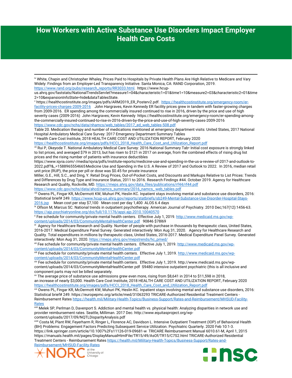<span id="page-9-1"></span><sup>v</sup> https://healthcostinstitute.org/images/pdfs/ARM2019\_ER\_Posterv2.pdf. [https://healthcostinstitute.org/emergency-room/er](https://healthcostinstitute.org/emergency-room/er-facility-prices-charges-2009-2016)[facility-prices-charges-2009-2016](https://healthcostinstitute.org/emergency-room/er-facility-prices-charges-2009-2016) John Hargraves, Kevin Kennedy ER facility prices grew in tandem with faster-growing charges from 2009-2016. ER spending among the commercially insured continued to rise in 2016, driven by the price and use of high severity cases (2009-2016) John Hargraves; Kevin Kennedy https://healthcostinstitute.org/emergency-room/er-spending-amongthe-commercially-insured-continued-to-rise-in-2016-driven-by-the-price-and-use-of-high-severity-cases-2009-2016 [https://www.cdc.gov/nchs/data/nhamcs/web\\_tables/2017\\_ed\\_web\\_tables-508.pdf](https://www.cdc.gov/nchs/data/nhamcs/web_tables/2017_ed_web_tables-508.pdf)

Table 20. Medication therapy and number of medications mentioned at emergency department visits: United States, 2017 National Hospital Ambulatory Medical Care Survey: 2017 Emergency Department Summary Tables

<span id="page-9-2"></span>vi Health Care Cost Institute, 2018 HEALTH CARE COST AND UTILIZATION REPORT, February 2020

[https://healthcostinstitute.org/images/pdfs/HCCI\\_2018\\_Health\\_Care\\_Cost\\_and\\_Utilization\\_Report.pdf](https://healthcostinstitute.org/images/pdfs/HCCI_2018_Health_Care_Cost_and_Utilization_Report.pdf)

<span id="page-9-3"></span>vii Rui P, Okeyode T. National Ambulatory Medical Care Survey: 2016 National Summary Tab• Initial cost exposure is strongly linked to list prices, and averaged \$79 in 2013, but has risen to \$121 in 2017 on average, from the combined effects of rising drug list prices and the rising number of patients with insurance deductibles

https://www.iqvia.com/-/media/iqvia/pdfs/institute-reports/medicine-use-and-spending-in-the-us-a-review-of-2017-and-outlook-to-2022.pdf?&\_=1588965554665Medicine Use and Spending in the U.S. A Review of 2017 and Outlook to 2022. In 2016, median retail unit price (RUP), the price per pill or dose was \$0.45 for private insurance

Miller, G.E., Hill, S.C., and Ding, Y. Retail Drug Prices, Out-of-Pocket Costs, and Discounts and Markups Relative to List Prices: Trends and Differences by Drug Type and Insurance Status, 2011 to 2016. Research Findings #44. October 2019. Agency for Healthcare Research and Quality, Rockville, MD. [https://meps.ahrq.gov/data\\_files/publications/rf44/rf44.pdf](https://meps.ahrq.gov/data_files/publications/rf44/rf44.pdf)

[https://www.cdc.gov/nchs/data/ahcd/namcs\\_summary/2016\\_namcs\\_ web\\_tables.pdf](https://www.cdc.gov/nchs/data/ahcd/namcs_summary/2016_namcs_%20web_tables.pdf)

<span id="page-9-4"></span>viii Owens PL, Fingar KR, McDermott KW, Muhuri PK, Heslin KC. Inpatient stays involving mental and substance use disorders, 2016: Statistical brief# 249[. https://www.hcup-us.ahrq.gov/reports/statbriefs/sb249-Mental-Substance-Use-Disorder-Hospital-Stays-](https://www.hcup-us.ahrq.gov/reports/statbriefs/sb249-Mental-Substance-Use-Disorder-Hospital-Stays-2016.jsp)[2016.jsp](https://www.hcup-us.ahrq.gov/reports/statbriefs/sb249-Mental-Substance-Use-Disorder-Hospital-Stays-2016.jsp) Mean cost per stay \$7,100 Mean cost per day 1,400 ALOS 6.4 days

<span id="page-9-5"></span>ix Olfson M, Marcus SC. National trends in outpatient psychotherapy. American Journal of Psychiatry. 2010 Dec;167(12):1456-63. <https://ajp.psychiatryonline.org/doi/full/10.1176/appi.ajp.2010.10040570>

<span id="page-9-6"></span>x Fee schedule for community/private mental health centers. Effective July 1, 2019. http://www.medicaid.ms.gov/wp-<br>content/uploads/2014/03/CommunityMentalHealthCenter.pdf 90846 \$78l69

<span id="page-9-7"></span><sup>xi</sup> Agency for Healthcare Research and Quality. Number of people with purchase in thousands by therapeutic class, United States, 2016-2017. Medical Expenditure Panel Survey. Generated interactively: Mon Aug 31, 2020. Agency for Healthcare Research and Quality. Total expenditures in millions by therapeutic class, United States, 2016-2017. Medical Expenditure Panel Survey. Generated interactively: Mon Aug 31, 2020. https://meps.ahrg.gov/mepstrends/hc\_pmed/

<span id="page-9-8"></span>xii Fee schedule for community/private mental health centers. Effective July 1, 2019[. http://www.medicaid.ms.gov/wp](http://www.medicaid.ms.gov/wp-content/uploads/2014/03/CommunityMentalHealthCenter.pdf)[content/uploads/2014/03/CommunityMentalHealthCenter.pdf](http://www.medicaid.ms.gov/wp-content/uploads/2014/03/CommunityMentalHealthCenter.pdf)

<span id="page-9-9"></span><sup>xiii</sup> Fee schedule for community/private mental health centers. Effective July 1, 2019. <u>http://www.medicaid.ms.gov/wp-</u> [content/uploads/2014/03/CommunityMentalHealthCenter.pdf](http://www.medicaid.ms.gov/wp-content/uploads/2014/03/CommunityMentalHealthCenter.pdf)

<span id="page-9-10"></span>xiv Fee schedule for community/private mental health centers. Effective July 1, 2019. http://www.medicaid.ms.gov/wpcontent/uploads/2014/03/CommunityMentalHealthCenter.pdf S9480 intensive outpatient psychiatric (this is all inclusive and component parts may not be billed separately.<br>xv The average price of substance use admissions grew even more, rising from \$8,641 in 2014 to \$11,598 in 2018,

<span id="page-9-11"></span>an increase of nearly \$3,000. Health Care Cost Institute, 2018 HEALTH CARE COST AND UTILIZATION REPORT, February 2020 [https://healthcostinstitute.org/images/pdfs/HCCI\\_2018\\_Health\\_Care\\_Cost\\_and\\_Utilization\\_Report.pdf](https://healthcostinstitute.org/images/pdfs/HCCI_2018_Health_Care_Cost_and_Utilization_Report.pdf)

<span id="page-9-12"></span>xvi Owens PL, Fingar KR, McDermott KW, Muhuri PK, Heslin KC. Inpatient stays involving mental and substance use disorders, 2016: Statistical brief# 249. https://europepmc.org/article/med/31063293 TRICARE-Authorized Residential Treatment Centers - Reimbursement Rate[s https://health.mil/Military-Health-Topics/Business-Support/Rates-and-Reimbursement/MHSUD-Facility-](https://health.mil/Military-Health-Topics/Business-Support/Rates-and-Reimbursement/MHSUD-Facility-Rates)[Rates](https://health.mil/Military-Health-Topics/Business-Support/Rates-and-Reimbursement/MHSUD-Facility-Rates)

<span id="page-9-13"></span>xvii Melek SP, Perlman D, Davenport S. Addiction and mental health vs. physical health: Analyzing disparities in network use and provider reimbursement rates. Seattle, Milliman. 2017 Dec. http://www.equitasproject.org/wp-

<span id="page-9-14"></span>content/uploads/2017/09/NQTLDisparityAnalysis.pdf xviii Costa M, Plant RW, Feyerharm R, Ringer L, Florence AC, Davidson L. Intensive Outpatient Treatment (IOP) of Behavioral Health (BH) Problems: Engagement Factors Predicting Subsequent Service Utilization. Psychiatric Quarterly. 2020 Feb 10:1-3. https://link.springer.com/article/10.1007%2Fs11126-019-09681-w TRICARE Reimbursement Manual 6010.61-M, April 1, 2015 https://manuals.health.mil/pages/DisplayManualHtmlFile/TR15/49/AsOf/TR15/C7S2.html TRICARE-Authorized Residential Treatment Centers - Reimbursement Rate[s https://health.mil/Military-Health-Topics/Business-Support/Rates-and-](https://health.mil/Military-Health-Topics/Business-Support/Rates-and-Reimbursement/MHSUD-Facility-Rates)

[Reimbursement/MHSUD-Facility-Rates](https://health.mil/Military-Health-Topics/Business-Support/Rates-and-Reimbursement/MHSUD-Facility-Rates)

**.** 





<span id="page-9-0"></span>iv White, Chapin and Christopher Whaley, Prices Paid to Hospitals by Private Health Plans Are High Relative to Medicare and Vary Widely: Findings from an Employer-Led Transparency Initiative. Santa Monica, CA: RAND Corporation, 2019. [https://www.rand.org/pubs/research\\_reports/RR3033.html.](https://www.rand.org/pubs/research_reports/RR3033.html) https://www.hcup-

us.ahrq.gov/faststats/NationalTrendsServlet?measure1=04&characteristic1=01&time1=10&measure2=03&characteristic2=01&time 2=10&expansionInfoState=hide&dataTablesState.